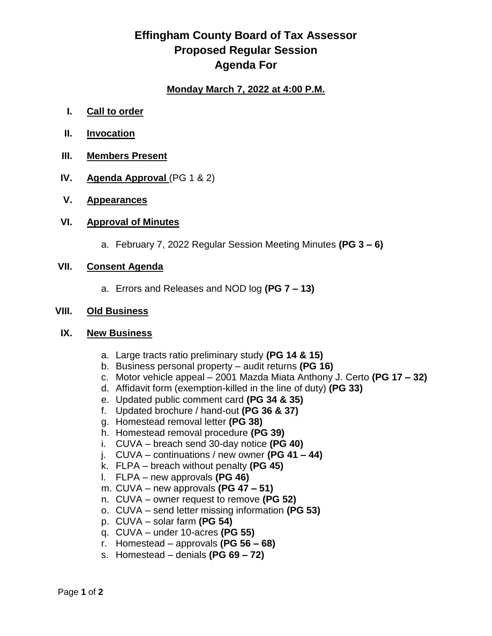## **Effingham County Board of Tax Assessor Proposed Regular Session Agenda For**

## **Monday March 7, 2022 at 4:00 P.M.**

- **I. Call to order**
- **II. Invocation**
- **III. Members Present**
- **IV. Agenda Approval** (PG 1 & 2)
- **V. Appearances**

### **VI. Approval of Minutes**

a. February 7, 2022 Regular Session Meeting Minutes **(PG 3 – 6)**

## **VII. Consent Agenda**

a. Errors and Releases and NOD log **(PG 7 – 13)**

#### **VIII. Old Business**

#### **IX. New Business**

- a. Large tracts ratio preliminary study **(PG 14 & 15)**
- b. Business personal property audit returns **(PG 16)**
- c. Motor vehicle appeal 2001 Mazda Miata Anthony J. Certo **(PG 17 – 32)**
- d. Affidavit form (exemption-killed in the line of duty) **(PG 33)**
- e. Updated public comment card **(PG 34 & 35)**
- f. Updated brochure / hand-out **(PG 36 & 37)**
- g. Homestead removal letter **(PG 38)**
- h. Homestead removal procedure **(PG 39)**
- i. CUVA breach send 30-day notice **(PG 40)**
- j. CUVA continuations / new owner **(PG 41 – 44)**
- k. FLPA breach without penalty **(PG 45)**
- l. FLPA new approvals **(PG 46)**
- m. CUVA new approvals **(PG 47 – 51)**
- n. CUVA owner request to remove **(PG 52)**
- o. CUVA send letter missing information **(PG 53)**
- p. CUVA solar farm **(PG 54)**
- q. CUVA under 10-acres **(PG 55)**
- r. Homestead approvals **(PG 56 – 68)**
- s. Homestead denials **(PG 69 – 72)**